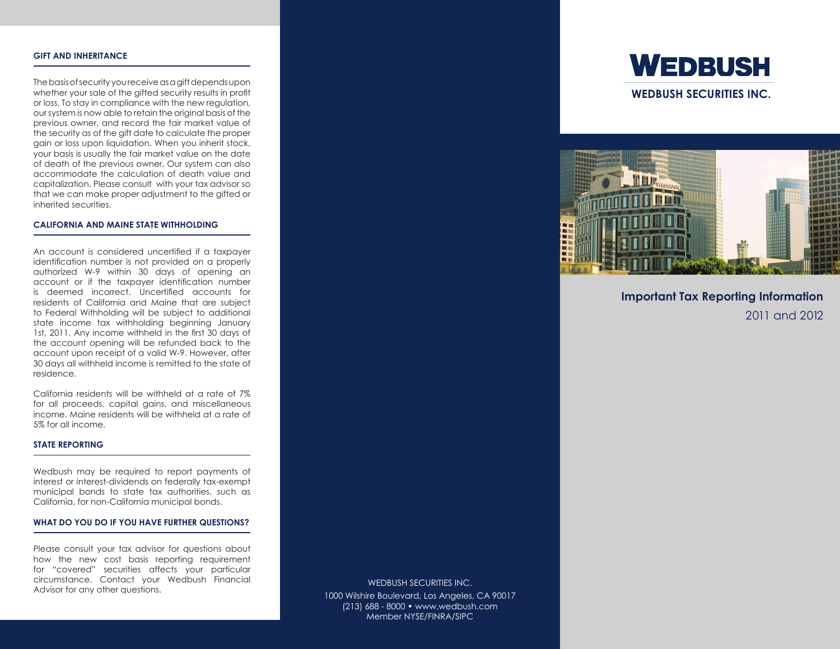# **Gift and Inheritance**

The basis of security you receive as a gift depends upon whether your sale of the gifted security results in profit or loss. To stay in compliance with the new regulation, our system is now able to retain the original basis of the previous owner, and record the fair market value of the security as of the gift date to calculate the proper gain or loss upon liquidation. When you inherit stock, your basis is usually the fair market value on the date of death of the previous owner. Our system can also accommodate the calculation of death value and capitalization. Please consult with your tax advisor so that we can make proper adjustment to the gifted or inherited securities.

### **California and Maine State Withholding**

An account is considered uncertified if a taxpayer identification number is not provided on a properly authorized W-9 within 30 days of opening an account or if the taxpayer identification number is deemed incorrect. Uncertified accounts for residents of California and Maine that are subject to Federal Withholding will be subject to additional state income tax withholding beginning January 1st, 2011. Any income withheld in the first 30 days of the account opening will be refunded back to the account upon receipt of a valid W-9. However, after 30 days all withheld income is remitted to the state of residence.

California residents will be withheld at a rate of 7% for all proceeds, capital gains, and miscellaneous income. Maine residents will be withheld at a rate of 5% for all income.

## **state reporting**

Wedbush may be required to report payments of interest or interest-dividends on federally tax-exempt municipal bonds to state tax authorities, such as California, for non-California municipal bonds.

#### **What Do You Do If You Have Further Questions?**

Please consult your tax advisor for questions about how the new cost basis reporting requirement for "covered" securities affects your particular circumstance. Contact your Wedbush Financial Advisor for any other questions.

WEDBUSH SECURITIES INC. 1000 Wilshire Boulevard, Los Angeles, CA 90017 (213) 688 - 8000 • www.wedbush.com Member NYSE/FINRA/SIPC





**Important Tax Reporting Information** 2011 and 2012